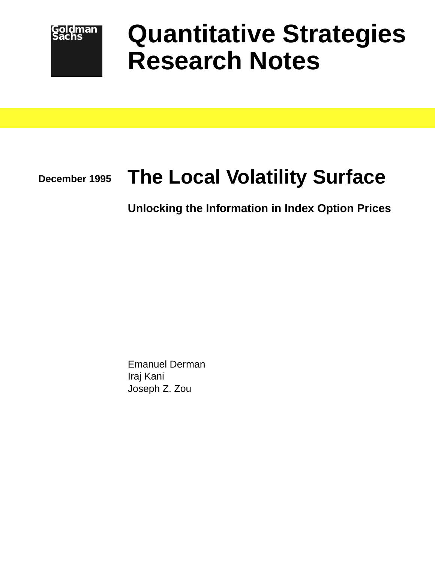

# **Quantitative Strategies Research Notes**

# **The Local Volatility Surface December 1995**

**Unlocking the Information in Index Option Prices**

Emanuel Derman Iraj Kani Joseph Z. Zou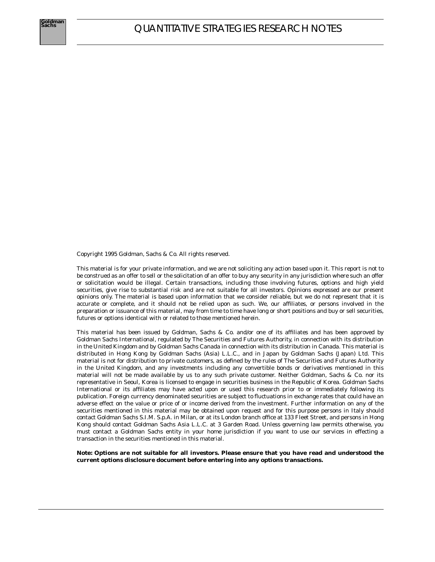Copyright 1995 Goldman, Sachs & Co. All rights reserved.

This material is for your private information, and we are not soliciting any action based upon it. This report is not to be construed as an offer to sell or the solicitation of an offer to buy any security in any jurisdiction where such an offer or solicitation would be illegal. Certain transactions, including those involving futures, options and high yield securities, give rise to substantial risk and are not suitable for all investors. Opinions expressed are our present opinions only. The material is based upon information that we consider reliable, but we do not represent that it is accurate or complete, and it should not be relied upon as such. We, our affiliates, or persons involved in the preparation or issuance of this material, may from time to time have long or short positions and buy or sell securities, futures or options identical with or related to those mentioned herein.

This material has been issued by Goldman, Sachs & Co. and/or one of its affiliates and has been approved by Goldman Sachs International, regulated by The Securities and Futures Authority, in connection with its distribution in the United Kingdom and by Goldman Sachs Canada in connection with its distribution in Canada. This material is distributed in Hong Kong by Goldman Sachs (Asia) L.L.C., and in Japan by Goldman Sachs (Japan) Ltd. This material is not for distribution to private customers, as defined by the rules of The Securities and Futures Authority in the United Kingdom, and any investments including any convertible bonds or derivatives mentioned in this material will not be made available by us to any such private customer. Neither Goldman, Sachs & Co. nor its representative in Seoul, Korea is licensed to engage in securities business in the Republic of Korea. Goldman Sachs International or its affiliates may have acted upon or used this research prior to or immediately following its publication. Foreign currency denominated securities are subject to fluctuations in exchange rates that could have an adverse effect on the value or price of or income derived from the investment. Further information on any of the securities mentioned in this material may be obtained upon request and for this purpose persons in Italy should contact Goldman Sachs S.I.M. S.p.A. in Milan, or at its London branch office at 133 Fleet Street, and persons in Hong Kong should contact Goldman Sachs Asia L.L.C. at 3 Garden Road. Unless governing law permits otherwise, you must contact a Goldman Sachs entity in your home jurisdiction if you want to use our services in effecting a transaction in the securities mentioned in this material.

**Note: Options are not suitable for all investors. Please ensure that you have read and understood the current options disclosure document before entering into any options transactions.**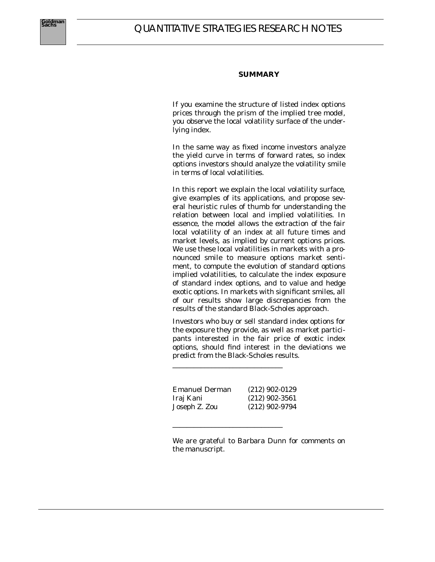#### **SUMMARY**

If you examine the structure of listed index options prices through the prism of the implied tree model, you observe the local volatility surface of the underlying index.

In the same way as fixed income investors analyze the yield curve in terms of forward rates, so index options investors should analyze the volatility smile in terms of local volatilities.

In this report we explain the local volatility surface, give examples of its applications, and propose several heuristic rules of thumb for understanding the relation between local and implied volatilities. In essence, the model allows the extraction of the fair local volatility of an index at all future times and market levels, as implied by current options prices. We use these local volatilities in markets with a pronounced smile to measure options market sentiment, to compute the evolution of standard options implied volatilities, to calculate the index exposure of standard index options, and to value and hedge exotic options. In markets with significant smiles, all of our results show large discrepancies from the results of the standard Black-Scholes approach.

Investors who buy or sell standard index options for the exposure they provide, as well as market participants interested in the fair price of exotic index options, should find interest in the deviations we predict from the Black-Scholes results.

| <b>Emanuel Derman</b> | $(212)$ 902-0129 |
|-----------------------|------------------|
| Iraj Kani             | $(212)$ 902-3561 |
| Joseph Z. Zou         | $(212)$ 902-9794 |

\_\_\_\_\_\_\_\_\_\_\_\_\_\_\_\_\_\_\_\_\_\_\_\_\_\_\_\_\_\_\_

\_\_\_\_\_\_\_\_\_\_\_\_\_\_\_\_\_\_\_\_\_\_\_\_\_\_\_\_\_\_\_

We are grateful to Barbara Dunn for comments on the manuscript.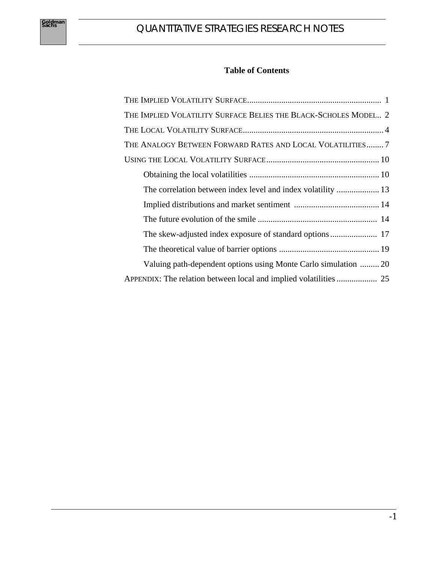# **Table of Contents**

| THE IMPLIED VOLATILITY SURFACE BELIES THE BLACK-SCHOLES MODEL 2 |
|-----------------------------------------------------------------|
|                                                                 |
| THE ANALOGY BETWEEN FORWARD RATES AND LOCAL VOLATILITIES7       |
|                                                                 |
|                                                                 |
|                                                                 |
|                                                                 |
|                                                                 |
| The skew-adjusted index exposure of standard options  17        |
|                                                                 |
| Valuing path-dependent options using Monte Carlo simulation  20 |
|                                                                 |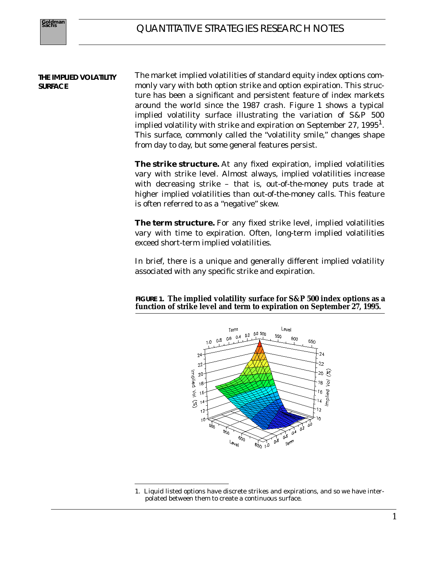

The market implied volatilities of standard equity index options commonly vary with both option strike and option expiration. This structure has been a significant and persistent feature of index markets around the world since the 1987 crash. Figure 1 shows a typical implied volatility surface illustrating the variation of S&P 500 implied volatility with strike and expiration on September 27, 1995<sup>1</sup>. This surface, commonly called the "volatility smile," changes shape from day to day, but some general features persist. **THE IMPLIED VOLATILITY SURFACE**

> **The strike structure.** At any fixed expiration, implied volatilities vary with strike level. Almost always, implied volatilities increase with decreasing strike – that is, out-of-the-money puts trade at higher implied volatilities than out-of-the-money calls. This feature is often referred to as a "negative" skew.

> **The term structure.** For any fixed strike level, implied volatilities vary with time to expiration. Often, long-term implied volatilities exceed short-term implied volatilities.

> In brief, there is a unique and generally different implied volatility associated with any specific strike and expiration.

## **FIGURE 1. The implied volatility surface for S&P 500 index options as a function of strike level and term to expiration on September 27, 1995.**



<sup>1.</sup> Liquid listed options have discrete strikes and expirations, and so we have interpolated between them to create a continuous surface.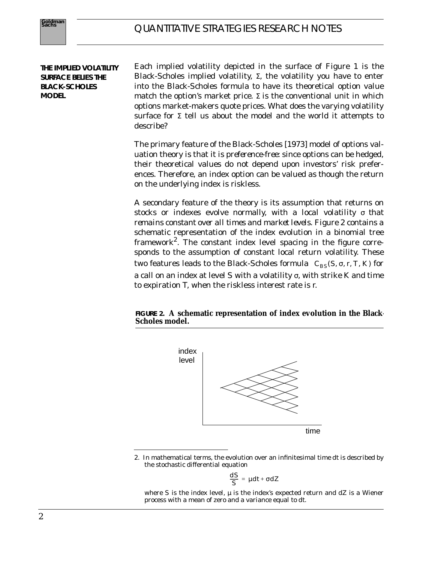**THE IMPLIED VOLATILITY SURFACE BELIES THE BLACK-SCHOLES MODEL**

Each implied volatility depicted in the surface of Figure 1 is the Black-Scholes implied volatility,  $\Sigma$ , the volatility you have to enter into the Black-Scholes formula to have its theoretical option value match the option's market price.  $\Sigma$  is the conventional unit in which options market-makers quote prices. What does the varying volatility surface for  $\Sigma$  tell us about the model and the world it attempts to describe?

The primary feature of the Black-Scholes [1973] model of options valuation theory is that it is *preference-free:* since options can be hedged, their theoretical values do not depend upon investors' risk preferences. Therefore, an index option can be valued *as though* the return on the underlying index is riskless.

A secondary feature of the theory is its assumption that returns on stocks or indexes evolve normally, with a *local volatility* σ *that remains constant over all times and market levels*. Figure 2 contains a schematic representation of the index evolution in a binomial tree framework<sup>2</sup>. The constant index level spacing in the figure corresponds to the assumption of constant local return volatility. These two features leads to the Black-Scholes formula  $C_{BS}(S, \sigma, r, T, K)$  for a call on an index at level *S* with a volatility σ*,* with strike *K* and time to expiration *T*, when the riskless interest rate is *r.*

**FIGURE 2. A schematic representation of index evolution in the Black- Scholes model.**



2. In mathematical terms, the evolution over an infinitesimal time *dt* is described by the stochastic differential equation

$$
\frac{dS}{S} = \mu dt + \sigma dZ
$$

where *S* is the index level,  $\mu$  is the index's expected return and  $dZ$  is a Wiener process with a mean of zero and a variance equal to *dt.*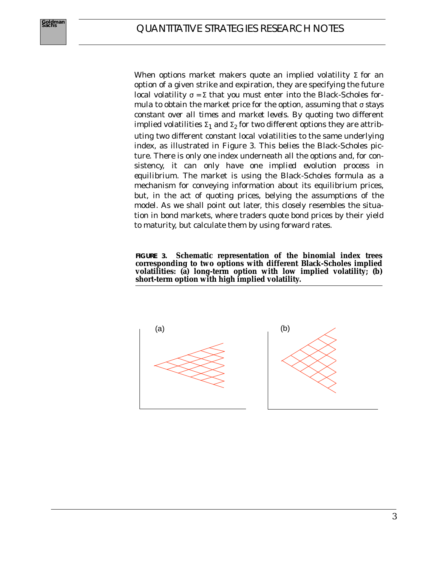When options market makers quote an implied volatility  $\Sigma$  for an option of a given strike and expiration, they are specifying the future local volatility  $σ = Σ$  that you must enter into the Black-Scholes formula to obtain the market price for the option, *assuming that* σ *stays constant over all times and market levels*. By quoting two different implied volatilities  $\Sigma_1$  and  $\Sigma_2$  for two different options they are attributing two different constant local volatilities to the same underlying index, as illustrated in Figure 3. This belies the Black-Scholes picture. There is only one index underneath all the options and, for consistency, *it can only have one implied evolution process in equilibrium*. The market is using the Black-Scholes formula as a mechanism for conveying information about its equilibrium prices, but, in the act of quoting prices, belying the assumptions of the model. As we shall point out later, this closely resembles the situation in bond markets, where traders quote bond prices by their yield to maturity, but calculate them by using forward rates.

**FIGURE 3. Schematic representation of the binomial index trees corresponding to two options with different Black-Scholes implied volatilities: (a) long-term option with low implied volatility; (b) short-term option with high implied volatility.**

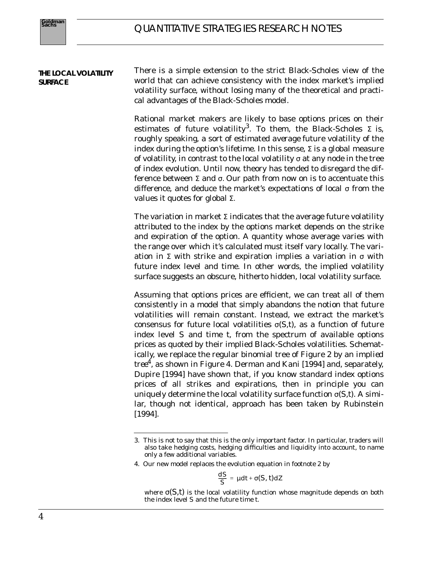**THE LOCAL VOLATILITY SURFACE**

There is a simple extension to the strict Black-Scholes view of the world that can achieve consistency with the index market's implied volatility surface, without losing many of the theoretical and practical advantages of the Black-Scholes model.

Rational market makers are likely to base options prices on their estimates of future volatility<sup>3</sup>. To them, the Black-Scholes  $\Sigma$  is, roughly speaking, a sort of estimated *average* future volatility of the index during the option's lifetime. In this sense, Σ is a *global* measure of volatility, in contrast to the *local* volatility σ at any node in the tree of index evolution. Until now, theory has tended to disregard the difference between Σ and σ. Our path from now on is to accentuate this difference, and deduce the market's expectations of local σ from the values it quotes for global Σ.

The variation in market  $\Sigma$  indicates that the average future volatility attributed to the index by the options market depends on the strike and expiration of the option. A quantity whose average varies with the range over which it's calculated must itself vary locally. The variation in  $\Sigma$  with strike and expiration implies a variation in  $\sigma$  with future index level and time. In other words, the implied volatility surface suggests an obscure, hitherto hidden, local volatility surface.

Assuming that options prices are efficient, we can treat all of them consistently in a model that simply abandons the notion that future volatilities will remain constant. Instead, we extract the market's consensus for future local volatilities  $\sigma(S,t)$ , as a function of future index level *S* and time *t,* from the spectrum of available options prices as quoted by their implied Black-Scholes volatilities. Schematically, we replace the regular binomial tree of Figure 2 by an *implied tree*4*,* as shown in Figure 4. Derman and Kani [1994] and, separately, Dupire [1994] have shown that, if you know standard index options prices of all strikes and expirations, then in principle you can uniquely determine the local volatility surface function  $\sigma(S, t)$ . A similar, though not identical, approach has been taken by Rubinstein [1994].

$$
\frac{dS}{S} = \mu dt + \sigma(S, t) dZ
$$

<sup>3.</sup> This is not to say that this is the only important factor. In particular, traders will also take hedging costs, hedging difficulties and liquidity into account, to name only a few additional variables.

<sup>4.</sup> Our new model replaces the evolution equation in footnote 2 by

where  $\sigma(S,t)$  is the local volatility function whose magnitude depends on both the index level *S* and the future time *t.*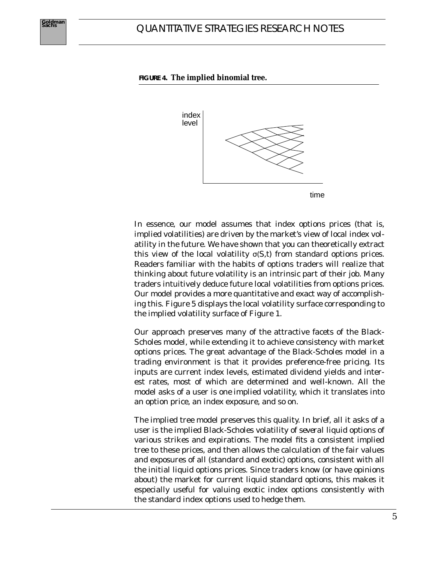### **FIGURE 4. The implied binomial tree.**



In essence, our model assumes that index options prices (that is, implied volatilities) are driven by the market's view of local index volatility in the future. We have shown that you can theoretically extract this view of the local volatility  $\sigma(S,t)$  from standard options prices. Readers familiar with the habits of options traders will realize that thinking about future volatility is an intrinsic part of their job. Many traders intuitively deduce future local volatilities from options prices. Our model provides a more quantitative and exact way of accomplishing this. Figure 5 displays the local volatility surface corresponding to the implied volatility surface of Figure 1.

Our approach preserves many of the attractive facets of the Black-Scholes model, while extending it to achieve consistency with market options prices. The great advantage of the Black-Scholes model in a trading environment is that it provides preference-free pricing. Its inputs are current index levels, estimated dividend yields and interest rates, most of which are determined and well-known. All the model asks of a user is *one* implied volatility, which it translates into an option price, an index exposure, and so on.

The implied tree model preserves this quality. In brief, all it asks of a user is the implied Black-Scholes volatility of *several* liquid options of various strikes and expirations. The model fits a consistent implied tree to these prices, and then allows the calculation of the fair values and exposures of all (standard and exotic) options, consistent with all the initial liquid options prices. Since traders know (or have opinions about) the market for current liquid standard options, this makes it especially useful for valuing exotic index options consistently with the standard index options used to hedge them.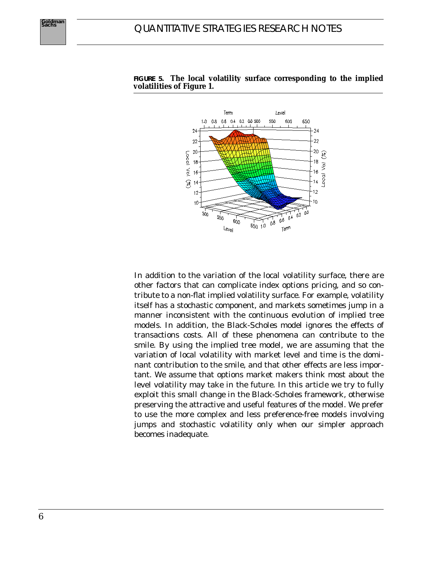



In addition to the variation of the local volatility surface, there are other factors that can complicate index options pricing, and so contribute to a non-flat implied volatility surface. For example, volatility itself has a stochastic component, and markets sometimes jump in a manner inconsistent with the continuous evolution of implied tree models. In addition, the Black-Scholes model ignores the effects of transactions costs. All of these phenomena can contribute to the smile. By using the implied tree model, we are assuming that the variation of local volatility with market level and time is the dominant contribution to the smile, and that other effects are less important. We assume that options market makers think most about the level volatility may take in the future. In this article we try to fully exploit this small change in the Black-Scholes framework, otherwise preserving the attractive and useful features of the model. We prefer to use the more complex and less preference-free models involving jumps and stochastic volatility only when our simpler approach becomes inadequate.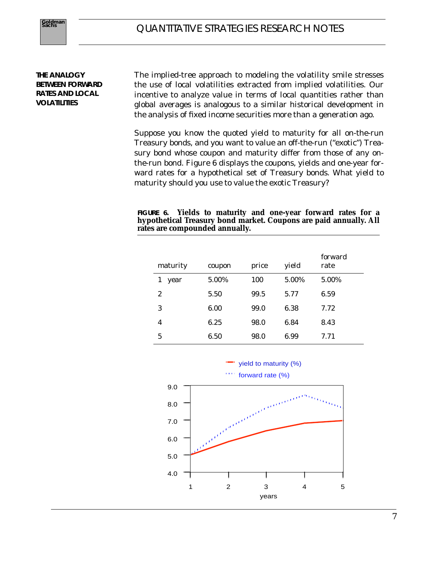

**THE ANALOGY BETWEEN FORWARD RATES AND LOCAL VOLATILITIES**

The implied-tree approach to modeling the volatility smile stresses the use of local volatilities extracted from implied volatilities. Our incentive to analyze value in terms of local quantities rather than global averages is analogous to a similar historical development in the analysis of fixed income securities more than a generation ago.

Suppose you know the quoted yield to maturity for all on-the-run Treasury bonds, and you want to value an off-the-run ("exotic") Treasury bond whose coupon and maturity differ from those of any onthe-run bond. Figure 6 displays the coupons, yields and one-year forward rates for a hypothetical set of Treasury bonds. What yield to maturity should you use to value the exotic Treasury?

#### **FIGURE 6. Yields to maturity and one-year forward rates for a hypothetical Treasury bond market. Coupons are paid annually. All rates are compounded annually.**

| maturity | coupon | price | yield | forward<br>rate |
|----------|--------|-------|-------|-----------------|
| year     | 5.00%  | 100   | 5.00% | 5.00%           |
| 2        | 5.50   | 99.5  | 5.77  | 6.59            |
| 3        | 6.00   | 99.0  | 6.38  | 7.72            |
| 4        | 6.25   | 98.0  | 6.84  | 8.43            |
| 5        | 6.50   | 98.0  | 6.99  | 7.71            |

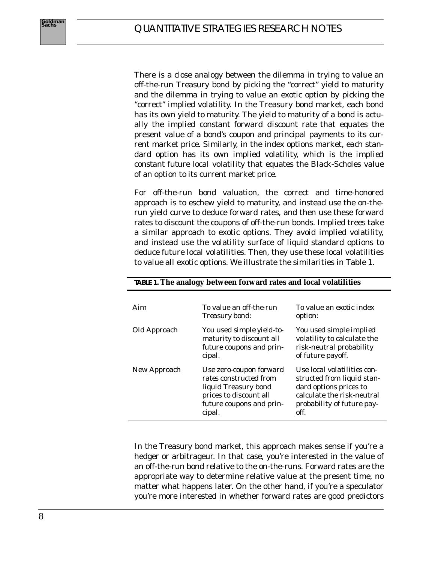There is a close analogy between the dilemma in trying to value an off-the-run Treasury bond by picking the "correct" yield to maturity and the dilemma in trying to value an exotic option by picking the "correct" implied volatility. In the Treasury bond market, each bond has its own yield to maturity. The yield to maturity of a bond is actually the *implied constant forward discount rate* that equates the present value of a bond's coupon and principal payments to its current market price. Similarly, in the index options market, each standard option has its own implied volatility, which is the *implied constant future local volatility* that equates the Black-Scholes value of an option to its current market price.

For off-the-run bond valuation, the correct and time-honored approach is to eschew yield to maturity, and instead use the on-therun yield curve to deduce forward rates, and then use these forward rates to discount the coupons of off-the-run bonds. Implied trees take a similar approach to exotic options. They avoid implied volatility, and instead use the volatility surface of liquid standard options to deduce future local volatilities. Then, they use these local volatilities to value all exotic options. We illustrate the similarities in Table 1.

| Aim          | To value an <i>off-the-run</i><br>Treasury bond:                                                                                                 | To value an <i>exotic index</i><br>option:                                                                                                                     |
|--------------|--------------------------------------------------------------------------------------------------------------------------------------------------|----------------------------------------------------------------------------------------------------------------------------------------------------------------|
| Old Approach | You used <i>simple yield-to-</i><br>maturity to discount all<br>future coupons and prin-<br>cipal.                                               | You used <i>simple implied</i><br>volatility to calculate the<br>risk-neutral probability<br>of future payoff.                                                 |
| New Approach | Use zero-coupon <i>forward</i><br>rates constructed from<br>liquid Treasury bond<br>prices to discount all<br>future coupons and prin-<br>cipal. | Use local <i>volatilities</i> con-<br>structed from liquid stan-<br>dard options prices to<br>calculate the risk-neutral<br>probability of future pay-<br>off. |

**TABLE 1. The analogy between forward rates and local volatilities**

In the Treasury bond market, this approach makes sense if you're a hedger or arbitrageur. In that case, you're interested in the value of an off-the-run bond relative to the on-the-runs. Forward rates are the appropriate way to determine relative value at the present time, no matter what happens later. On the other hand, if you're a speculator you're more interested in whether forward rates are good predictors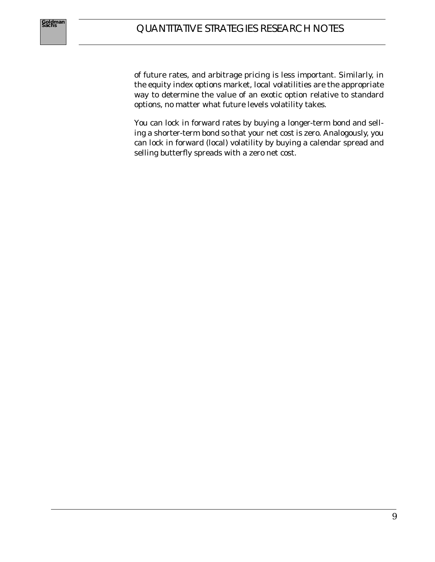of future rates, and arbitrage pricing is less important. Similarly, in the equity index options market, local volatilities are the appropriate way to determine the value of an exotic option relative to standard options, no matter what future levels volatility takes.

You can lock in forward rates by buying a longer-term bond and selling a shorter-term bond so that your net cost is zero. Analogously, you can lock in forward (local) volatility by buying a calendar spread and selling butterfly spreads with a zero net cost.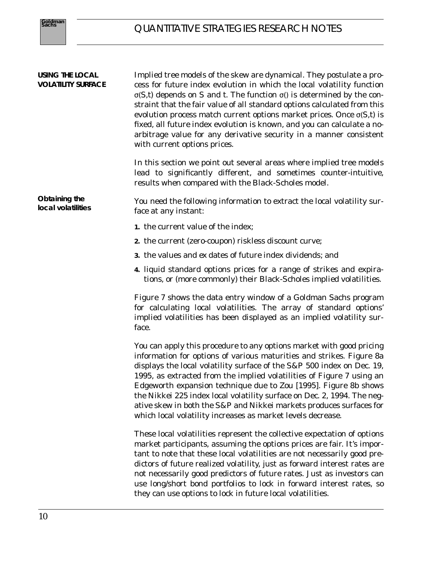| <b>USING THE LOCAL</b><br><b>VOLATILITY SURFACE</b> | Implied tree models of the skew are dynamical. They postulate a pro-<br>cess for future index evolution in which the local volatility function<br>$\sigma(S,t)$ depends on S and t. The function $\sigma()$ is determined by the con-<br>straint that the fair value of all standard options calculated from this<br>evolution process match current options market prices. Once $\sigma(S,t)$ is<br>fixed, all future index evolution is known, and you can calculate a no-<br>arbitrage value for any derivative security in a manner consistent<br>with current options prices.   |
|-----------------------------------------------------|--------------------------------------------------------------------------------------------------------------------------------------------------------------------------------------------------------------------------------------------------------------------------------------------------------------------------------------------------------------------------------------------------------------------------------------------------------------------------------------------------------------------------------------------------------------------------------------|
|                                                     | In this section we point out several areas where implied tree models<br>lead to significantly different, and sometimes counter-intuitive,<br>results when compared with the Black-Scholes model.                                                                                                                                                                                                                                                                                                                                                                                     |
| Obtaining the<br>local volatilities                 | You need the following information to extract the local volatility sur-<br>face at any instant:                                                                                                                                                                                                                                                                                                                                                                                                                                                                                      |
|                                                     | 1. the current value of the index;                                                                                                                                                                                                                                                                                                                                                                                                                                                                                                                                                   |
|                                                     | 2. the current (zero-coupon) riskless discount curve;                                                                                                                                                                                                                                                                                                                                                                                                                                                                                                                                |
|                                                     | 3. the values and ex dates of future index dividends; and                                                                                                                                                                                                                                                                                                                                                                                                                                                                                                                            |
|                                                     | 4. liquid standard options prices for a range of strikes and expira-<br>tions, or (more commonly) their Black-Scholes implied volatilities.                                                                                                                                                                                                                                                                                                                                                                                                                                          |
|                                                     | Figure 7 shows the data entry window of a Goldman Sachs program<br>for calculating local volatilities. The array of standard options'<br>implied volatilities has been displayed as an implied volatility sur-<br>face.                                                                                                                                                                                                                                                                                                                                                              |
|                                                     | You can apply this procedure to any options market with good pricing<br>information for options of various maturities and strikes. Figure 8a<br>displays the local volatility surface of the S&P 500 index on Dec. 19,<br>1995, as extracted from the implied volatilities of Figure 7 using an<br>Edgeworth expansion technique due to Zou [1995]. Figure 8b shows<br>the Nikkei 225 index local volatility surface on Dec. 2, 1994. The neg-<br>ative skew in both the S&P and Nikkei markets produces surfaces for<br>which local volatility increases as market levels decrease. |
|                                                     | These local volatilities represent the collective expectation of options<br>market participants, assuming the options prices are fair. It's impor-<br>tant to note that these local volatilities are not necessarily good pre-<br>dictors of future realized volatility, just as forward interest rates are<br>not necessarily good predictors of future rates. Just as investors can<br>use long/short bond portfolios to lock in forward interest rates, so<br>they can use options to lock in future local volatilities.                                                          |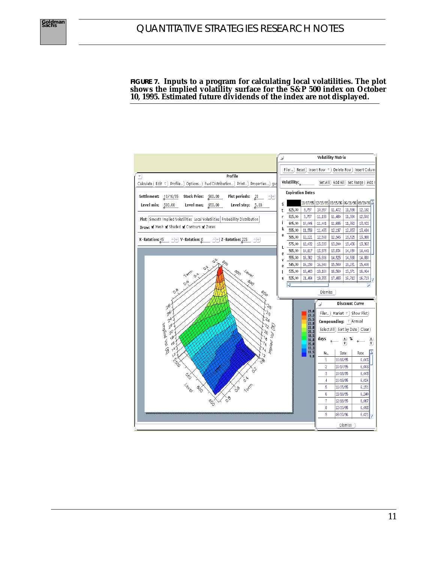#### **FIGURE 7. Inputs to a program for calculating local volatilities. The plot shows the implied volatility surface for the S&P 500 index on October 10, 1995. Estimated future dividends of the index are not displayed.**

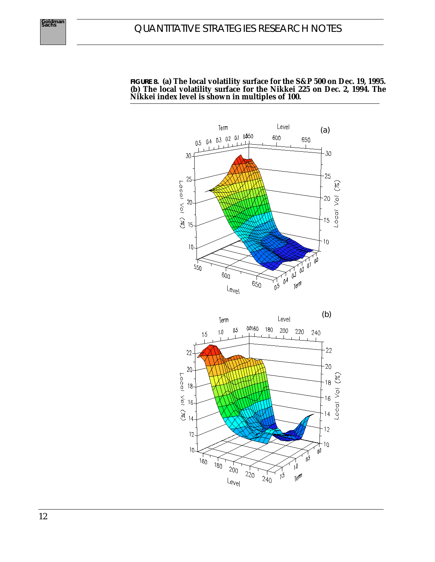

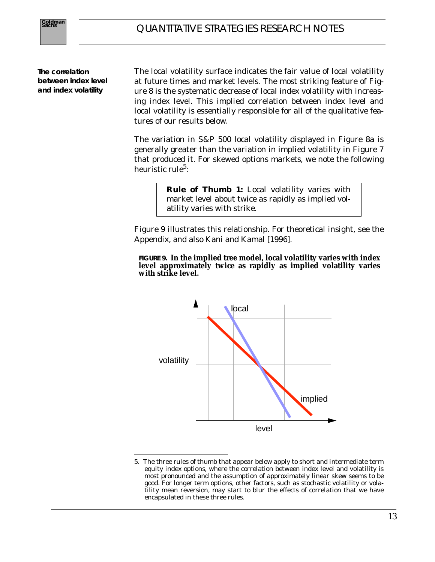

**The correlation between index level and index volatility**

The local volatility surface indicates the fair value of local volatility at future times and market levels. The most striking feature of Figure 8 is the systematic decrease of local index volatility with increasing index level. This implied correlation between index level and local volatility is essentially responsible for all of the qualitative features of our results below.

The variation in S&P 500 local volatility displayed in Figure 8a is generally greater than the variation in implied volatility in Figure 7 that produced it. For skewed options markets, we note the following heuristic rule<sup>5</sup>:

> **Rule of Thumb 1:** Local volatility varies with market level about twice as rapidly as implied volatility varies with strike.

Figure 9 illustrates this relationship. For theoretical insight, see the Appendix, and also Kani and Kamal [1996].

**FIGURE 9. In the implied tree model, local volatility varies with index level approximately twice as rapidly as implied volatility varies with strike level.**



<sup>5.</sup> The three rules of thumb that appear below apply to short and intermediate term equity index options, where the correlation between index level and volatility is most pronounced and the assumption of approximately linear skew seems to be good. For longer term options, other factors, such as stochastic volatility or volatility mean reversion, may start to blur the effects of correlation that we have encapsulated in these three rules.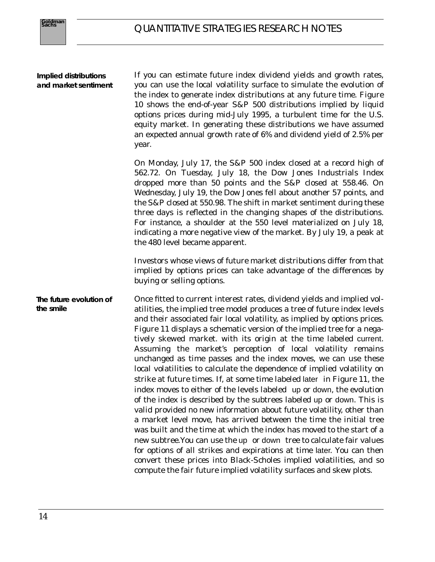| Implied distributions<br>and market sentiment | If you can estimate future index dividend yields and growth rates,<br>you can use the local volatility surface to simulate the evolution of<br>the index to generate index distributions at any future time. Figure<br>10 shows the end-of-year S&P 500 distributions implied by liquid<br>options prices during mid-July 1995, a turbulent time for the U.S.<br>equity market. In generating these distributions we have assumed<br>an expected annual growth rate of 6% and dividend yield of 2.5% per<br>year.                                                                                                                                                                                                                                                                                                                                                                                                                                                                                                                                                                                                                                                                                                                                                                                                                                     |
|-----------------------------------------------|-------------------------------------------------------------------------------------------------------------------------------------------------------------------------------------------------------------------------------------------------------------------------------------------------------------------------------------------------------------------------------------------------------------------------------------------------------------------------------------------------------------------------------------------------------------------------------------------------------------------------------------------------------------------------------------------------------------------------------------------------------------------------------------------------------------------------------------------------------------------------------------------------------------------------------------------------------------------------------------------------------------------------------------------------------------------------------------------------------------------------------------------------------------------------------------------------------------------------------------------------------------------------------------------------------------------------------------------------------|
|                                               | On Monday, July 17, the S&P 500 index closed at a record high of<br>562.72. On Tuesday, July 18, the Dow Jones Industrials Index<br>dropped more than 50 points and the S&P closed at 558.46. On<br>Wednesday, July 19, the Dow Jones fell about another 57 points, and<br>the S&P closed at 550.98. The shift in market sentiment during these<br>three days is reflected in the changing shapes of the distributions.<br>For instance, a shoulder at the 550 level materialized on July 18,<br>indicating a more negative view of the market. By July 19, a peak at<br>the 480 level became apparent.                                                                                                                                                                                                                                                                                                                                                                                                                                                                                                                                                                                                                                                                                                                                               |
|                                               | Investors whose views of future market distributions differ from that<br>implied by options prices can take advantage of the differences by<br>buying or selling options.                                                                                                                                                                                                                                                                                                                                                                                                                                                                                                                                                                                                                                                                                                                                                                                                                                                                                                                                                                                                                                                                                                                                                                             |
| The future evolution of<br>the smile          | Once fitted to current interest rates, dividend yields and implied vol-<br>atilities, the implied tree model produces a tree of future index levels<br>and their associated fair local volatility, as implied by options prices.<br>Figure 11 displays a schematic version of the implied tree for a nega-<br>tively skewed market. with its origin at the time labeled current.<br>Assuming the market's perception of local volatility remains<br>unchanged as time passes and the index moves, we can use these<br>local volatilities to calculate the dependence of implied volatility on<br>strike at future times. If, at some time labeled later in Figure 11, the<br>index moves to either of the levels labeled up or down, the evolution<br>of the index is described by the subtrees labeled up or down. This is<br>valid provided no new information about future volatility, other than<br>a market level move, has arrived between the time the initial tree<br>was built and the time at which the index has moved to the start of a<br>new subtree. You can use the up or down tree to calculate fair values<br>for options of all strikes and expirations at time later. You can then<br>convert these prices into Black-Scholes implied volatilities, and so<br>compute the fair future implied volatility surfaces and skew plots. |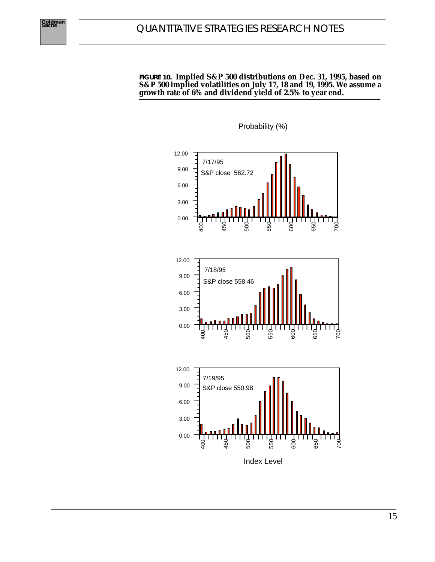**FIGURE 10. Implied S&P 500 distributions on Dec. 31, 1995, based on S&P 500 implied volatilities on July 17, 18 and 19, 1995. We assume a growth rate of 6% and dividend yield of 2.5% to year end.**



Probability (%)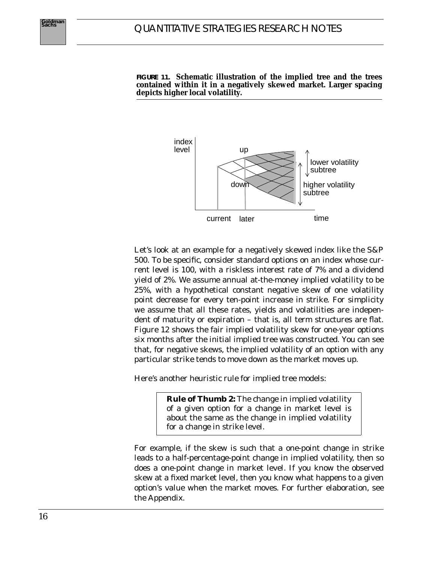



Let's look at an example for a negatively skewed index like the S&P 500. To be specific, consider standard options on an index whose current level is 100, with a riskless interest rate of 7% and a dividend yield of 2%. We assume annual at-the-money implied volatility to be 25%, with a hypothetical constant negative skew of one volatility point decrease for every ten-point increase in strike. For simplicity we assume that all these rates, yields and volatilities are independent of maturity or expiration – that is, all term structures are flat. Figure 12 shows the fair implied volatility skew for one-year options six months after the initial implied tree was constructed. You can see that, for negative skews, the implied volatility of an option with any particular strike tends to move down as the market moves up.

Here's another heuristic rule for implied tree models:

**Rule of Thumb 2:** The change in implied volatility of a given option for a change in market level is about the same as the change in implied volatility for a change in strike level.

For example, if the skew is such that a one-point change in strike leads to a half-percentage-point change in implied volatility, then so does a one-point change in market level. If you know the observed skew at a fixed market level, then you know what happens to a given option's value when the market moves. For further elaboration, see the Appendix.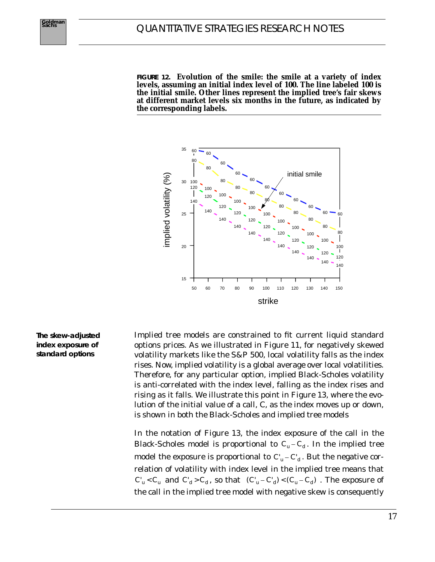**FIGURE 12. Evolution of the smile: the smile at a variety of index levels, assuming an initial index level of 100. The line labeled 100 is the initial smile. Other lines represent the implied tree's fair skews at different market levels six months in the future, as indicated by the corresponding labels.**



**The skew-adjusted index exposure of standard options**

Implied tree models are constrained to fit current liquid standard options prices. As we illustrated in Figure 11, for negatively skewed volatility markets like the S&P 500, local volatility falls as the index rises. Now, implied volatility is a global average over local volatilities. Therefore, for any particular option, implied Black-Scholes volatility is anti-correlated with the index level, falling as the index rises and rising as it falls. We illustrate this point in Figure 13, where the evolution of the initial value of a call, C, as the index moves up or down, is shown in both the Black-Scholes and implied tree models

In the notation of Figure 13, the index exposure of the call in the Black-Scholes model is proportional to  $C_u$ – $C_d$ . In the implied tree model the exposure is proportional to  $\left. C_{\left. u^{\,-}\right.}C_{\left. d^{\,\cdot} \right.} \right.$  But the negative correlation of volatility with index level in the implied tree means that  $C_u < C_u$  and  $C_d > C_d$ , so that  $(C_u - C_d) < (C_u - C_d)$ . The exposure of the call in the implied tree model with negative skew is consequently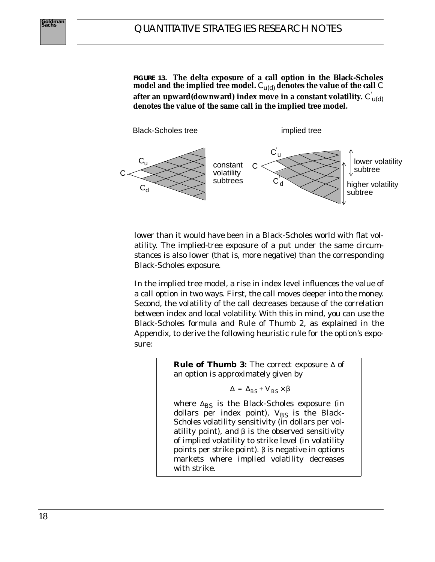denotes the value of the same call in the implied tree model.<br>———————————————————— **FIGURE 13. The delta exposure of a call option in the Black-Scholes** model and the implied tree model.  $C_{u(d)}$  denotes the value of the call  $C$ after an upward(downward) index move in a constant volatility.  $\text{C}^{'}_{\mathbf{u}(\mathbf{d})}$ 



lower than it would have been in a Black-Scholes world with flat volatility. The implied-tree exposure of a put under the same circumstances is also lower (that is, more negative) than the corresponding Black-Scholes exposure.

In the implied tree model, a rise in index level influences the value of a call option in two ways. First, the call moves deeper into the money. Second, the volatility of the call decreases because of the correlation between index and local volatility. With this in mind, you can use the Black-Scholes formula and Rule of Thumb 2, as explained in the Appendix, to derive the following heuristic rule for the option's exposure:

> **Rule of Thumb 3:** The correct exposure ∆ of an option is approximately given by

$$
\Delta = \Delta_{BS} + V_{BS} \times \beta
$$

where  $\Delta_{\rm BS}$  is the Black-Scholes exposure (in dollars per index point),  $V_{BS}$  is the Black-Scholes volatility sensitivity (in dollars per volatility point), and  $β$  is the observed sensitivity of implied volatility to strike level (in volatility points per strike point). β is negative in options markets where implied volatility decreases with strike.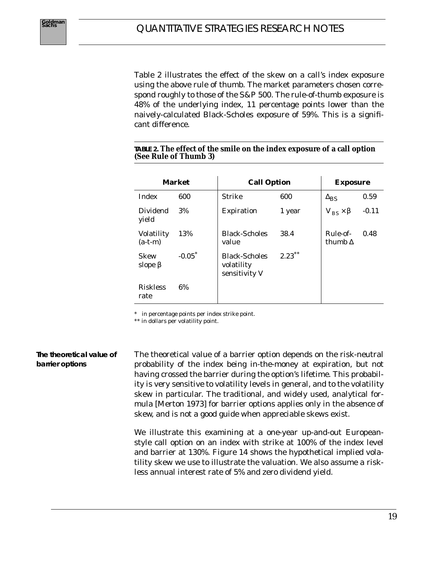Table 2 illustrates the effect of the skew on a call's index exposure using the above rule of thumb. The market parameters chosen correspond roughly to those of the S&P 500. The rule-of-thumb exposure is 48% of the underlying index, 11 percentage points lower than the naively-calculated Black-Scholes exposure of 59%. This is a significant difference.

| TABLE 2. The effect of the smile on the index exposure of a call option |  |
|-------------------------------------------------------------------------|--|
| (See Rule of Thumb 3)                                                   |  |

|                                | <b>Market</b>        | <b>Call Option</b>                                  |           | <b>Exposure</b>            |         |
|--------------------------------|----------------------|-----------------------------------------------------|-----------|----------------------------|---------|
| Index                          | 600                  | <b>Strike</b>                                       | 600       | $\Delta_{\rm BS}$          | 0.59    |
| <b>Dividend</b><br>yield       | 3%                   | <b>Expiration</b>                                   | 1 year    | $V_{BS} \times \beta$      | $-0.11$ |
| <b>Volatility</b><br>$(a-t-m)$ | 13%                  | <b>Black-Scholes</b><br>value                       | 38.4      | Rule-of-<br>thumb $\Delta$ | 0.48    |
| <b>Skew</b><br>slope $\beta$   | $-0.05$ <sup>*</sup> | <b>Black-Scholes</b><br>volatility<br>sensitivity V | $2.23***$ |                            |         |
| <b>Riskless</b><br>rate        | 6%                   |                                                     |           |                            |         |

\* in percentage points per index strike point.

\*\* in dollars per volatility point.

**The theoretical value of barrier options**

The theoretical value of a barrier option depends on the risk-neutral probability of the index being in-the-money at expiration, but not having crossed the barrier during the option's lifetime. This probability is very sensitive to volatility levels in general, and to the volatility skew in particular. The traditional, and widely used, analytical formula [Merton 1973] for barrier options applies only in the absence of skew, and is not a good guide when appreciable skews exist.

We illustrate this examining at a one-year up-and-out Europeanstyle call option on an index with strike at 100% of the index level and barrier at 130%. Figure 14 shows the hypothetical implied volatility skew we use to illustrate the valuation. We also assume a riskless annual interest rate of 5% and zero dividend yield.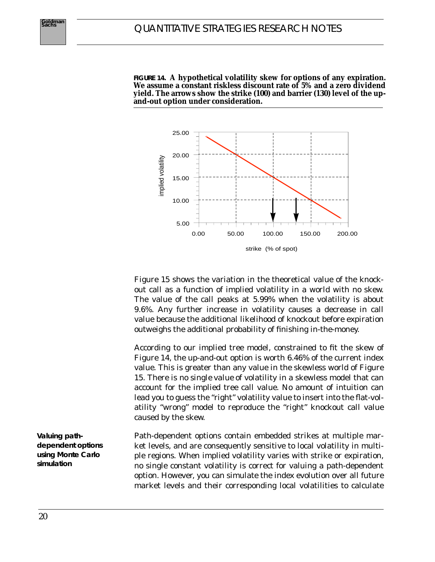**FIGURE 14. A hypothetical volatility skew for options of any expiration. We assume a constant riskless discount rate of 5% and a zero dividend yield. The arrows show the strike (100) and barrier (130) level of the upand-out option under consideration.**



Figure 15 shows the variation in the theoretical value of the knockout call as a function of implied volatility in a world with no skew. The value of the call peaks at 5.99% when the volatility is about 9.6%. Any further increase in volatility causes a decrease in call value because the additional likelihood of knockout before expiration outweighs the additional probability of finishing in-the-money.

According to our implied tree model, constrained to fit the skew of Figure 14, the up-and-out option is worth 6.46% of the current index value. This is greater than any value in the skewless world of Figure 15. There is *no single value* of volatility in a skewless model that can account for the implied tree call value. No amount of intuition can lead you to guess the "right" volatility value to insert into the flat-volatility "wrong" model to reproduce the "right" knockout call value caused by the skew.

Path-dependent options contain embedded strikes at multiple market levels, and are consequently sensitive to local volatility in multiple regions. When implied volatility varies with strike or expiration, no single constant volatility is correct for valuing a path-dependent option. However, you can simulate the index evolution over all future market levels and their corresponding local volatilities to calculate

**Valuing pathdependent options using Monte Carlo simulation**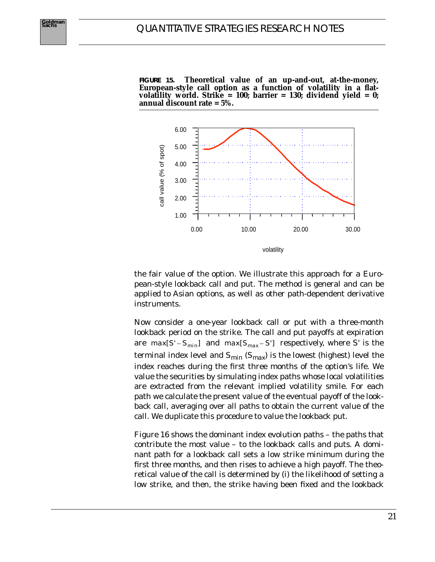**FIGURE 15. Theoretical value of an up-and-out, at-the-money, European-style call option as a function of volatility in a flatvolatility world. Strike = 100; barrier = 130; dividend yield = 0; annual discount rate = 5%.**



the fair value of the option. We illustrate this approach for a European-style lookback call and put. The method is general and can be applied to Asian options, as well as other path-dependent derivative instruments.

Now consider a one-year lookback call or put with a three-month lookback period on the strike. The call and put payoffs at expiration are  $max[S - S_{min}]$  and  $max[S_{max} - S]$  respectively, where S' is the terminal index level and  $S_{min}$  ( $S_{max}$ ) is the lowest (highest) level the index reaches during the first three months of the option's life. We value the securities by simulating index paths whose local volatilities are extracted from the relevant implied volatility smile. For each path we calculate the present value of the eventual payoff of the lookback call, averaging over all paths to obtain the current value of the call. We duplicate this procedure to value the lookback put.

Figure 16 shows the dominant index evolution paths – the paths that contribute the most value – to the lookback calls and puts. A dominant path for a lookback call sets a low strike minimum during the first three months, and then rises to achieve a high payoff. The theoretical value of the call is determined by (i) the likelihood of setting a low strike, and then, the strike having been fixed and the lookback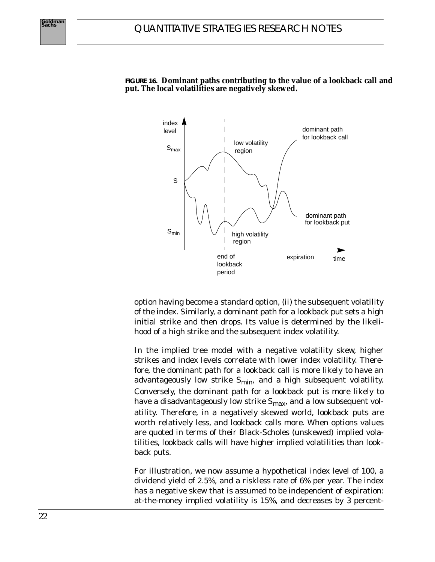

**FIGURE 16. Dominant paths contributing to the value of a lookback call and put. The local volatilities are negatively skewed.**

option having become a standard option, (ii) the subsequent volatility of the index. Similarly, a dominant path for a lookback put sets a high initial strike and then drops. Its value is determined by the likelihood of a high strike and the subsequent index volatility.

In the implied tree model with a negative volatility skew, higher strikes and index levels correlate with lower index volatility. Therefore, the dominant path for a lookback call is more likely to have an advantageously low strike  $S_{\text{min}}$ , and a high subsequent volatility. Conversely, the dominant path for a lookback put is more likely to have a disadvantageously low strike  $S_{\text{max}}$ , and a low subsequent volatility. Therefore, in a negatively skewed world, lookback puts are worth relatively less, and lookback calls more. When options values are quoted in terms of their Black-Scholes (unskewed) implied volatilities, lookback calls will have higher implied volatilities than lookback puts.

For illustration, we now assume a hypothetical index level of 100, a dividend yield of 2.5%, and a riskless rate of 6% per year. The index has a negative skew that is assumed to be independent of expiration: at-the-money implied volatility is 15%, and decreases by 3 percent-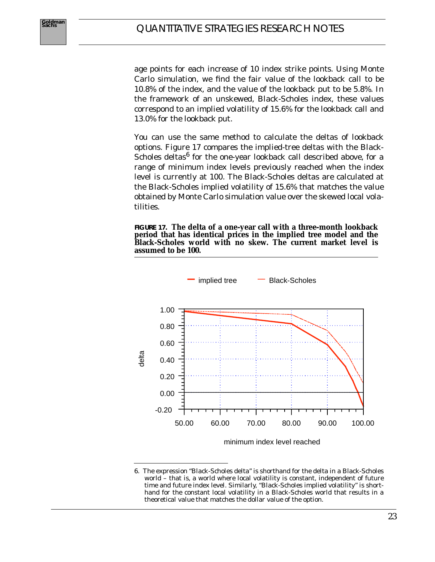age points for each increase of 10 index strike points. Using Monte Carlo simulation, we find the fair value of the lookback call to be 10.8% of the index, and the value of the lookback put to be 5.8%. In the framework of an unskewed, Black-Scholes index, these values correspond to an implied volatility of 15.6% for the lookback call and 13.0% for the lookback put.

You can use the same method to calculate the deltas of lookback options. Figure 17 compares the implied-tree deltas with the Black-Scholes deltas $6$  for the one-year lookback call described above, for a range of minimum index levels previously reached when the index level is currently at 100. The Black-Scholes deltas are calculated at the Black-Scholes implied volatility of 15.6% that matches the value obtained by Monte Carlo simulation value over the skewed local volatilities.

**FIGURE 17. The delta of a one-year call with a three-month lookback period that has identical prices in the implied tree model and the Black-Scholes world with no skew. The current market level is assumed to be 100.**



<sup>6.</sup> The expression "Black-Scholes delta" is shorthand for the delta in a Black-Scholes world – that is, a world where local volatility is constant, independent of future time and future index level. Similarly, "Black-Scholes implied volatility" is shorthand for the constant local volatility in a Black-Scholes world that results in a theoretical value that matches the dollar value of the option.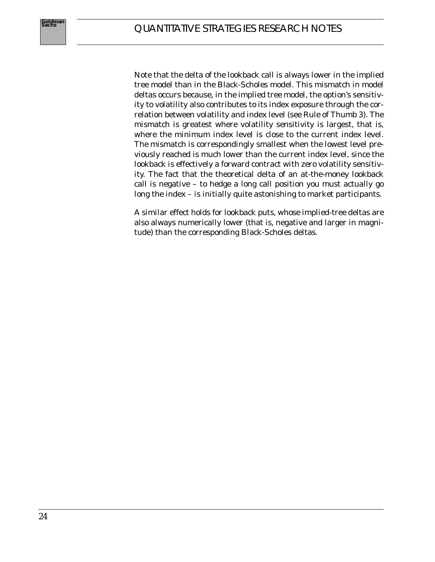Note that the delta of the lookback call is always lower in the implied tree model than in the Black-Scholes model. This mismatch in model deltas occurs because, in the implied tree model, the option's sensitivity to volatility also contributes to its index exposure through the correlation between volatility and index level (see Rule of Thumb 3). The mismatch is greatest where volatility sensitivity is largest, that is, where the minimum index level is close to the current index level. The mismatch is correspondingly smallest when the lowest level previously reached is much lower than the current index level, since the lookback is effectively a forward contract with zero volatility sensitivity. The fact that the theoretical delta of an at-the-money lookback call is negative – to hedge a long call position you must actually go long the index – is initially quite astonishing to market participants.

A similar effect holds for lookback puts, whose implied-tree deltas are also always numerically lower (that is, negative and larger in magnitude) than the corresponding Black-Scholes deltas.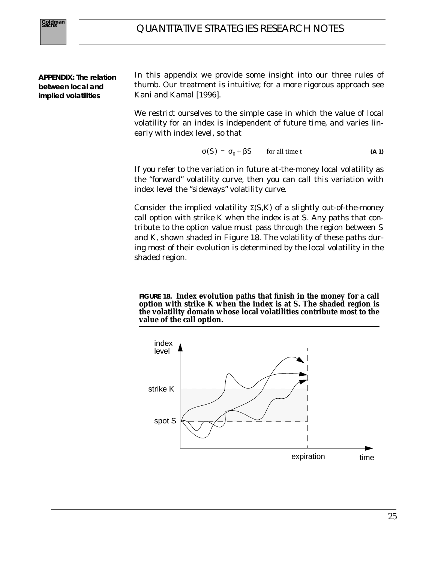

**APPENDIX: The relation between local and implied volatilities**

In this appendix we provide some insight into our three rules of thumb. Our treatment is intuitive; for a more rigorous approach see Kani and Kamal [1996].

We restrict ourselves to the simple case in which the value of local volatility for an index is independent of future time, and varies linearly with index level, so that

$$
\sigma(S) = \sigma_0 + \beta S \qquad \text{for all time t} \tag{A 1}
$$

If you refer to the variation in future at-the-money local volatility as the "forward" volatility curve, then you can call this variation with index level the "sideways" volatility curve.

Consider the implied volatility  $\Sigma(S,K)$  of a slightly out-of-the-money call option with strike *K* when the index is at *S*. Any paths that contribute to the option value must pass through the region between *S* and *K,* shown shaded in Figure 18. The volatility of these paths during most of their evolution is determined by the local volatility in the shaded region.

**FIGURE 18. Index evolution paths that finish in the money for a call option with strike K when the index is at S. The shaded region is the volatility domain whose local volatilities contribute most to the value of the call option.**

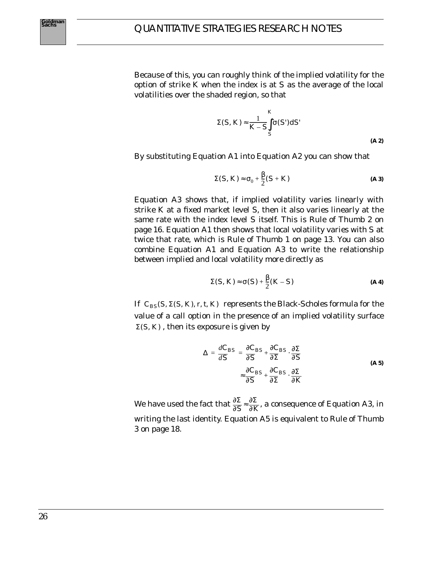Because of this, you can roughly think of the implied volatility for the option of strike *K* when the index is at *S* as the average of the local volatilities over the shaded region, so that

$$
\Sigma(S, K) \approx \frac{1}{K - S} \int_{S}^{K} \sigma(S) dS
$$
\n(A2)

By substituting Equation A1 into Equation A2 you can show that

$$
\Sigma(S, K) \approx \sigma_0 + \frac{\beta}{2}(S + K) \tag{A 3}
$$

Equation A3 shows that, if implied volatility varies linearly with strike *K* at a fixed market level *S,* then it also varies linearly at the same rate with the index level *S* itself*.* This is Rule of Thumb 2 on page 16. Equation A1 then shows that local volatility varies with *S* at twice that rate, which is Rule of Thumb 1 on page 13. You can also combine Equation A1 and Equation A3 to write the relationship between implied and local volatility more directly as

$$
\Sigma(S, K) \approx \sigma(S) + \frac{\beta}{2}(K - S)
$$
 (A 4)

If  $C_{BS}(S, \Sigma(S, K), r, t, K)$  represents the Black-Scholes formula for the value of a call option in the presence of an implied volatility surface  $\Sigma(S, K)$  , then its exposure is given by

$$
\Delta = \frac{dC_{BS}}{dS} = \frac{\partial C_{BS}}{\partial S} + \frac{\partial C_{BS}}{\partial \Sigma} \cdot \frac{\partial \Sigma}{\partial S}
$$
\n
$$
\approx \frac{\partial C_{BS}}{\partial S} + \frac{\partial C_{BS}}{\partial \Sigma} \cdot \frac{\partial \Sigma}{\partial K}
$$
\n(A5)

We have used the fact that  $\frac{\partial Z}{\partial S}\approx \frac{\partial Z}{\partial K}$ , a consequence of Equation A3, in writing the last identity. Equation A5 is equivalent to Rule of Thumb 3 on page 18. ∂Σ  $\approx \frac{\partial Σ}{\partial K}$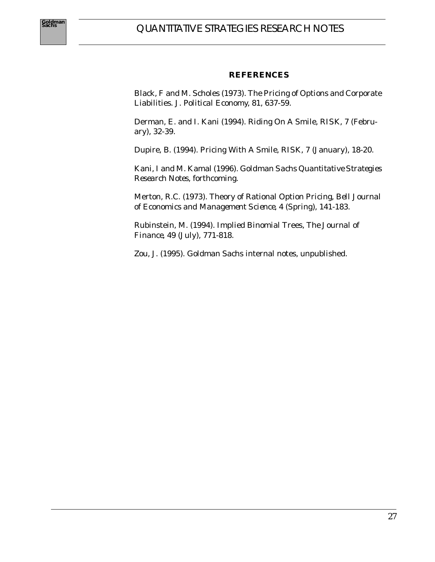

## **REFERENCES**

Black, F and M. Scholes (1973). The Pricing of Options and Corporate Liabilities. *J. Political Economy,* 81, 637-59.

Derman, E. and I. Kani (1994). Riding On A Smile, *RISK*, 7 (February), 32-39.

Dupire, B. (1994). Pricing With A Smile, *RISK*, 7 (January), 18-20.

Kani, I and M. Kamal (1996). *Goldman Sachs Quantitative Strategies Research Notes*, forthcoming.

Merton, R.C. (1973). Theory of Rational Option Pricing, *Bell Journal of Economics and Management Science,* 4 (Spring), 141-183.

Rubinstein, M. (1994). Implied Binomial Trees, *The Journal of Finance,* 49 (July), 771-818.

Zou, J. (1995). Goldman Sachs internal notes, unpublished.